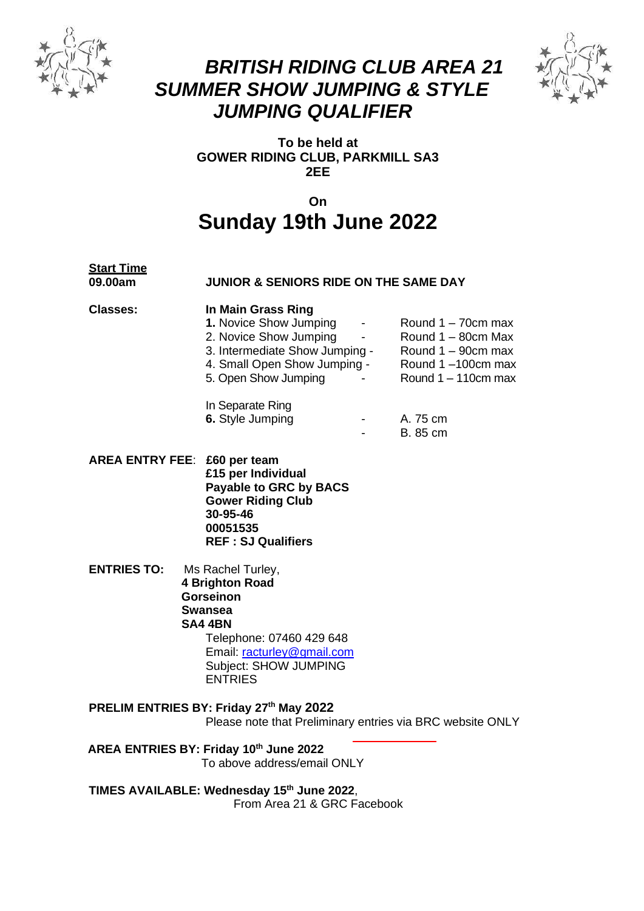

## *BRITISH RIDING CLUB AREA 21 SUMMER SHOW JUMPING & STYLE JUMPING QUALIFIER*



**To be held at GOWER RIDING CLUB, PARKMILL SA3 2EE**

### **On Sunday 19th June 2022**

# Start Time<br>09.00am

#### **09.00am JUNIOR & SENIORS RIDE ON THE SAME DAY**

#### **Classes: In Main Grass Ring**

| 1. Novice Show Jumping         |  | Round $1 - 70$ cm max  |
|--------------------------------|--|------------------------|
| 2. Novice Show Jumping         |  | Round 1 - 80cm Max     |
| 3. Intermediate Show Jumping - |  | Round $1 - 90$ cm max  |
| 4. Small Open Show Jumping -   |  | Round 1-100cm max      |
| 5. Open Show Jumping           |  | Round $1 - 110$ cm max |
|                                |  |                        |
| In Separate Ring               |  |                        |
| 6. Style Jumping               |  | A. 75 cm               |
|                                |  |                        |

- B. 85 cm
- **AREA ENTRY FEE**: **£60 per team £15 per Individual Payable to GRC by BACS Gower Riding Club 30-95-46 00051535 REF : SJ Qualifiers**
- **ENTRIES TO:** Ms Rachel Turley,  **4 Brighton Road Gorseinon Swansea SA4 4BN** Telephone: 07460 429 648 Email: racturley@gmail.com

Subject: SHOW JUMPING ENTRIES

**PRELIM ENTRIES BY: Friday 27th May 2022**

Please note that Preliminary entries via BRC website ONLY

 **AREA ENTRIES BY: Friday 10 th June 2022** To above address/email ONLY

**TIMES AVAILABLE: Wednesday 15 th June 2022**, From Area 21 & GRC Facebook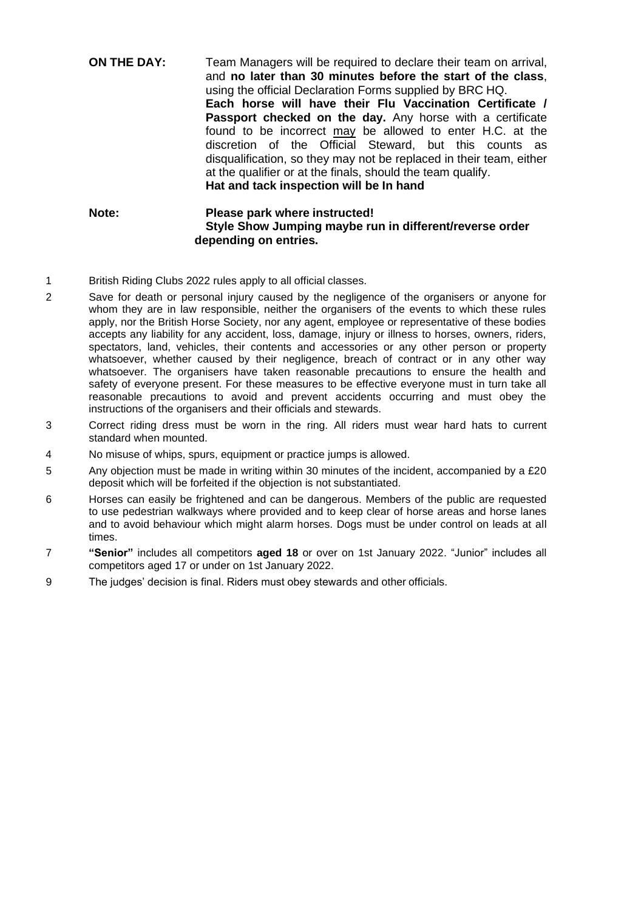#### **ON THE DAY:** Team Managers will be required to declare their team on arrival, and **no later than 30 minutes before the start of the class**, using the official Declaration Forms supplied by BRC HQ. **Each horse will have their Flu Vaccination Certificate /**  Passport checked on the day. Any horse with a certificate found to be incorrect may be allowed to enter H.C. at the discretion of the Official Steward, but this counts as disqualification, so they may not be replaced in their team, either at the qualifier or at the finals, should the team qualify. **Hat and tack inspection will be In hand**

#### **Note: Please park where instructed! Style Show Jumping maybe run in different/reverse order depending on entries.**

- 1 British Riding Clubs 2022 rules apply to all official classes.
- 2 Save for death or personal injury caused by the negligence of the organisers or anyone for whom they are in law responsible, neither the organisers of the events to which these rules apply, nor the British Horse Society, nor any agent, employee or representative of these bodies accepts any liability for any accident, loss, damage, injury or illness to horses, owners, riders, spectators, land, vehicles, their contents and accessories or any other person or property whatsoever, whether caused by their negligence, breach of contract or in any other way whatsoever. The organisers have taken reasonable precautions to ensure the health and safety of everyone present. For these measures to be effective everyone must in turn take all reasonable precautions to avoid and prevent accidents occurring and must obey the instructions of the organisers and their officials and stewards.
- 3 Correct riding dress must be worn in the ring. All riders must wear hard hats to current standard when mounted.
- 4 No misuse of whips, spurs, equipment or practice jumps is allowed.
- 5 Any objection must be made in writing within 30 minutes of the incident, accompanied by a £20 deposit which will be forfeited if the objection is not substantiated.
- 6 Horses can easily be frightened and can be dangerous. Members of the public are requested to use pedestrian walkways where provided and to keep clear of horse areas and horse lanes and to avoid behaviour which might alarm horses. Dogs must be under control on leads at all times.
- 7 **"Senior"** includes all competitors **aged 18** or over on 1st January 2022. "Junior" includes all competitors aged 17 or under on 1st January 2022.
- 9 The judges' decision is final. Riders must obey stewards and other officials.